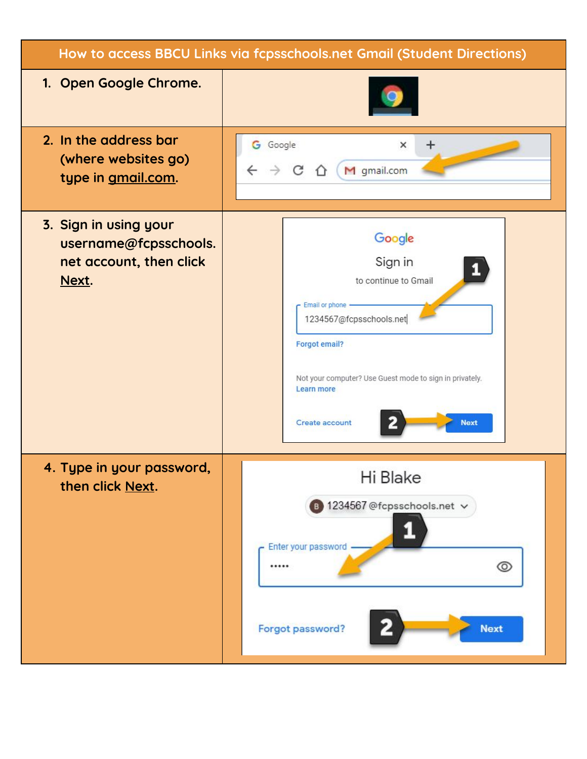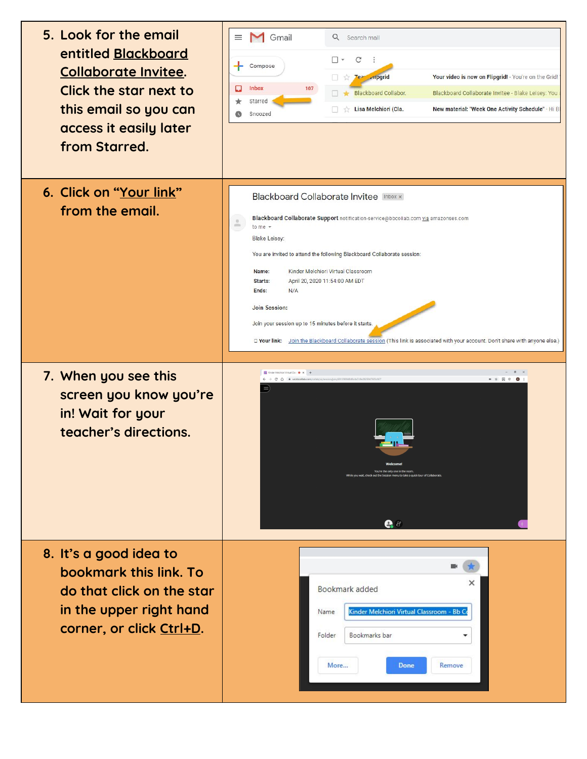